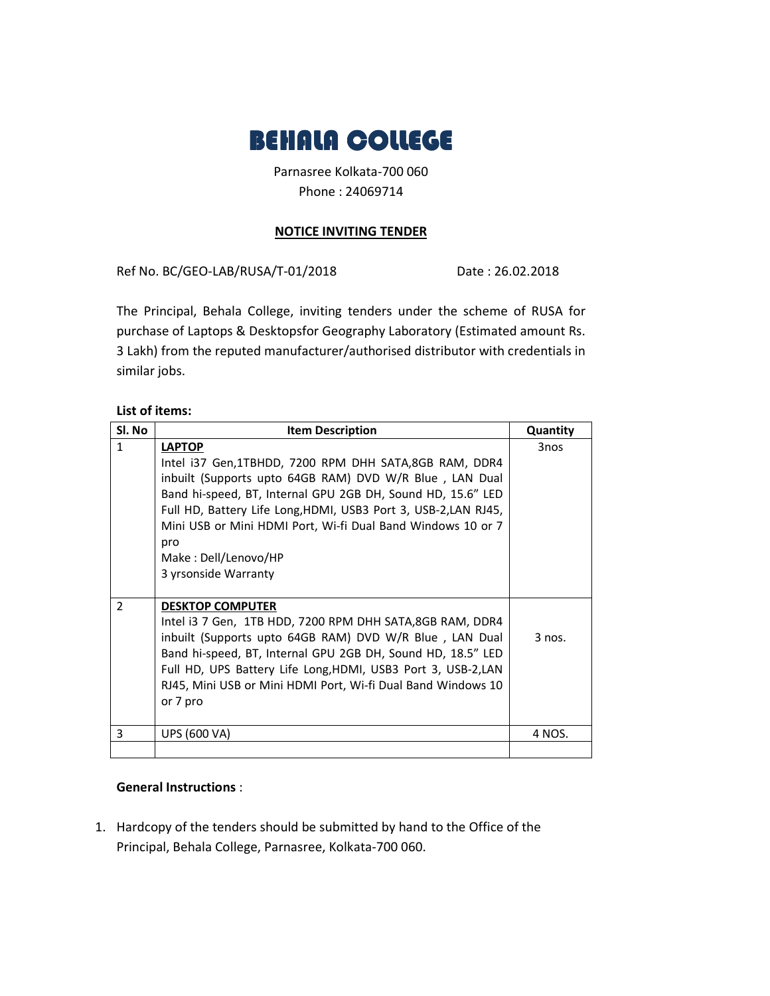

Parnasree Kolkata-700 060 Phone : 24069714

## **NOTICE INVITING TENDER**

Ref No. BC/GEO-LAB/RUSA/T-01/2018 Date: 26.02.2018

The Principal, Behala College, inviting tenders under the scheme of RUSA for purchase of Laptops & Desktopsfor Geography Laboratory (Estimated amount Rs. 3 Lakh) from the reputed manufacturer/authorised distributor with credentials in similar jobs.

## **List of items:**

| Sl. No         | <b>Item Description</b>                                         | Quantity |
|----------------|-----------------------------------------------------------------|----------|
| $\mathbf{1}$   | <b>LAPTOP</b>                                                   | 3nos     |
|                | Intel i37 Gen,1TBHDD, 7200 RPM DHH SATA,8GB RAM, DDR4           |          |
|                | inbuilt (Supports upto 64GB RAM) DVD W/R Blue, LAN Dual         |          |
|                | Band hi-speed, BT, Internal GPU 2GB DH, Sound HD, 15.6" LED     |          |
|                | Full HD, Battery Life Long, HDMI, USB3 Port 3, USB-2, LAN RJ45, |          |
|                | Mini USB or Mini HDMI Port, Wi-fi Dual Band Windows 10 or 7     |          |
|                | pro                                                             |          |
|                | Make: Dell/Lenovo/HP                                            |          |
|                | 3 yrsonside Warranty                                            |          |
|                |                                                                 |          |
| $\overline{2}$ | <b>DESKTOP COMPUTER</b>                                         |          |
|                | Intel i3 7 Gen, 1TB HDD, 7200 RPM DHH SATA,8GB RAM, DDR4        |          |
|                | inbuilt (Supports upto 64GB RAM) DVD W/R Blue, LAN Dual         | $3$ nos. |
|                | Band hi-speed, BT, Internal GPU 2GB DH, Sound HD, 18.5" LED     |          |
|                | Full HD, UPS Battery Life Long, HDMI, USB3 Port 3, USB-2, LAN   |          |
|                | RJ45, Mini USB or Mini HDMI Port, Wi-fi Dual Band Windows 10    |          |
|                | or 7 pro                                                        |          |
|                |                                                                 |          |
| 3              | UPS (600 VA)                                                    | 4 NOS.   |
|                |                                                                 |          |

## **General Instructions** :

1. Hardcopy of the tenders should be submitted by hand to the Office of the Principal, Behala College, Parnasree, Kolkata-700 060.